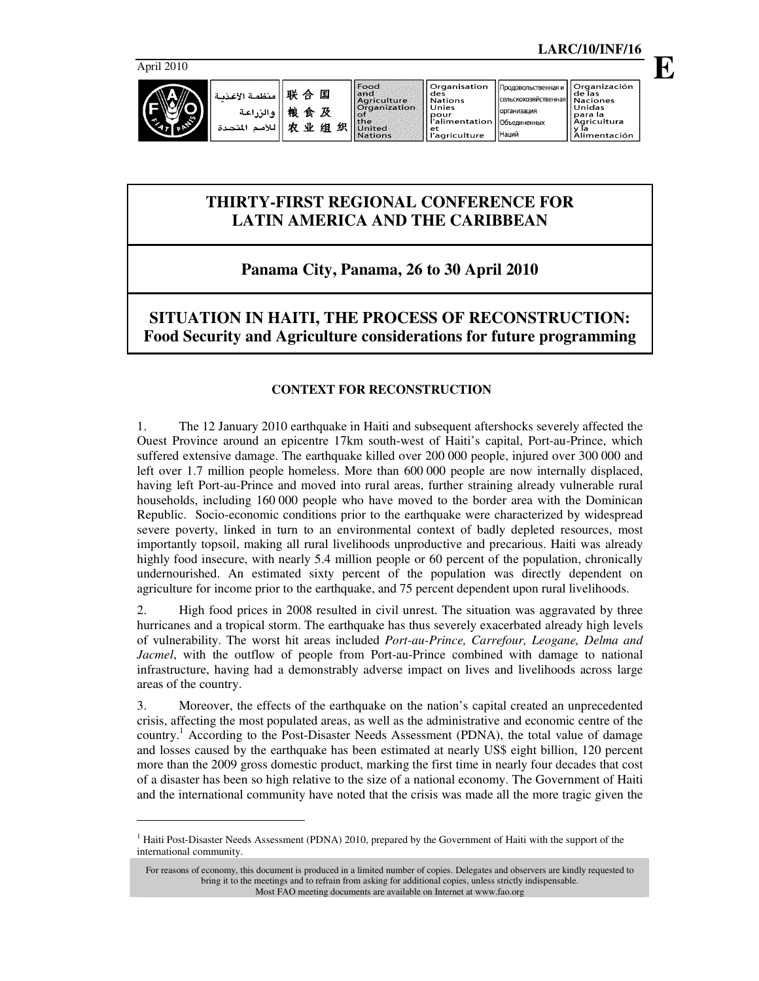-



| منظمة الأغذر<br>ه الي اعة<br>s.<br>Ñ<br>للأمد<br>المتحدة | 畔<br>国<br>⇔<br>楾<br>及<br>食<br>۹ŀ<br>织<br>÷<br>细 | Food<br>land.<br>Aariculture<br><b>Organization</b><br>l of<br>  the<br>United<br><b>Nations</b> | ll Organisation<br>des<br><b>Nations</b><br>Unies<br>pour<br>r'alimentation   Объединенных<br>'let<br>'agriculture | Продовольственная и 1<br>Псельскохозяйственная    Naciones<br>Норганизация<br>I ІНаций | Organización<br>de las<br>Unidas<br>para la<br>Agricultura<br>-v la<br>Alimentación |
|----------------------------------------------------------|-------------------------------------------------|--------------------------------------------------------------------------------------------------|--------------------------------------------------------------------------------------------------------------------|----------------------------------------------------------------------------------------|-------------------------------------------------------------------------------------|
|----------------------------------------------------------|-------------------------------------------------|--------------------------------------------------------------------------------------------------|--------------------------------------------------------------------------------------------------------------------|----------------------------------------------------------------------------------------|-------------------------------------------------------------------------------------|

# **THIRTY-FIRST REGIONAL CONFERENCE FOR LATIN AMERICA AND THE CARIBBEAN**

# **Panama City, Panama, 26 to 30 April 2010**

**SITUATION IN HAITI, THE PROCESS OF RECONSTRUCTION: Food Security and Agriculture considerations for future programming** 

## **CONTEXT FOR RECONSTRUCTION**

1. The 12 January 2010 earthquake in Haiti and subsequent aftershocks severely affected the Ouest Province around an epicentre 17km south-west of Haiti's capital, Port-au-Prince, which suffered extensive damage. The earthquake killed over 200 000 people, injured over 300 000 and left over 1.7 million people homeless. More than 600 000 people are now internally displaced, having left Port-au-Prince and moved into rural areas, further straining already vulnerable rural households, including 160 000 people who have moved to the border area with the Dominican Republic. Socio-economic conditions prior to the earthquake were characterized by widespread severe poverty, linked in turn to an environmental context of badly depleted resources, most importantly topsoil, making all rural livelihoods unproductive and precarious. Haiti was already highly food insecure, with nearly 5.4 million people or 60 percent of the population, chronically undernourished. An estimated sixty percent of the population was directly dependent on agriculture for income prior to the earthquake, and 75 percent dependent upon rural livelihoods.

2. High food prices in 2008 resulted in civil unrest. The situation was aggravated by three hurricanes and a tropical storm. The earthquake has thus severely exacerbated already high levels of vulnerability. The worst hit areas included *Port-au-Prince, Carrefour, Leogane, Delma and Jacmel*, with the outflow of people from Port-au-Prince combined with damage to national infrastructure, having had a demonstrably adverse impact on lives and livelihoods across large areas of the country.

3. Moreover, the effects of the earthquake on the nation's capital created an unprecedented crisis, affecting the most populated areas, as well as the administrative and economic centre of the country.<sup>1</sup> According to the Post-Disaster Needs Assessment (PDNA), the total value of damage and losses caused by the earthquake has been estimated at nearly US\$ eight billion, 120 percent more than the 2009 gross domestic product, marking the first time in nearly four decades that cost of a disaster has been so high relative to the size of a national economy. The Government of Haiti and the international community have noted that the crisis was made all the more tragic given the

<sup>&</sup>lt;sup>1</sup> Haiti Post-Disaster Needs Assessment (PDNA) 2010, prepared by the Government of Haiti with the support of the international community.

For reasons of economy, this document is produced in a limited number of copies. Delegates and observers are kindly requested to bring it to the meetings and to refrain from asking for additional copies, unless strictly indispensable. Most FAO meeting documents are available on Internet at www.fao.org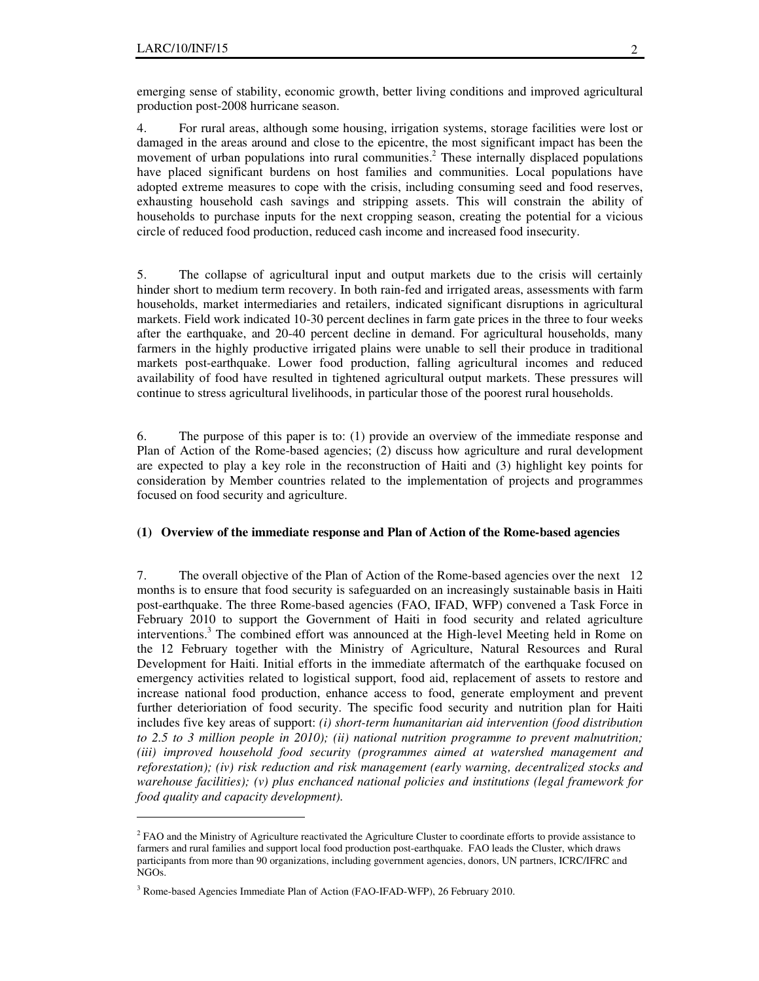-

emerging sense of stability, economic growth, better living conditions and improved agricultural production post-2008 hurricane season.

4. For rural areas, although some housing, irrigation systems, storage facilities were lost or damaged in the areas around and close to the epicentre, the most significant impact has been the movement of urban populations into rural communities. 2 These internally displaced populations have placed significant burdens on host families and communities. Local populations have adopted extreme measures to cope with the crisis, including consuming seed and food reserves, exhausting household cash savings and stripping assets. This will constrain the ability of households to purchase inputs for the next cropping season, creating the potential for a vicious circle of reduced food production, reduced cash income and increased food insecurity.

5. The collapse of agricultural input and output markets due to the crisis will certainly hinder short to medium term recovery. In both rain-fed and irrigated areas, assessments with farm households, market intermediaries and retailers, indicated significant disruptions in agricultural markets. Field work indicated 10-30 percent declines in farm gate prices in the three to four weeks after the earthquake, and 20-40 percent decline in demand. For agricultural households, many farmers in the highly productive irrigated plains were unable to sell their produce in traditional markets post-earthquake. Lower food production, falling agricultural incomes and reduced availability of food have resulted in tightened agricultural output markets. These pressures will continue to stress agricultural livelihoods, in particular those of the poorest rural households.

6. The purpose of this paper is to: (1) provide an overview of the immediate response and Plan of Action of the Rome-based agencies; (2) discuss how agriculture and rural development are expected to play a key role in the reconstruction of Haiti and (3) highlight key points for consideration by Member countries related to the implementation of projects and programmes focused on food security and agriculture.

#### **(1) Overview of the immediate response and Plan of Action of the Rome-based agencies**

7. The overall objective of the Plan of Action of the Rome-based agencies over the next 12 months is to ensure that food security is safeguarded on an increasingly sustainable basis in Haiti post-earthquake. The three Rome-based agencies (FAO, IFAD, WFP) convened a Task Force in February 2010 to support the Government of Haiti in food security and related agriculture interventions.<sup>3</sup> The combined effort was announced at the High-level Meeting held in Rome on the 12 February together with the Ministry of Agriculture, Natural Resources and Rural Development for Haiti. Initial efforts in the immediate aftermatch of the earthquake focused on emergency activities related to logistical support, food aid, replacement of assets to restore and increase national food production, enhance access to food, generate employment and prevent further deterioriation of food security. The specific food security and nutrition plan for Haiti includes five key areas of support: *(i) short-term humanitarian aid intervention (food distribution to 2.5 to 3 million people in 2010); (ii) national nutrition programme to prevent malnutrition; (iii) improved household food security (programmes aimed at watershed management and reforestation); (iv) risk reduction and risk management (early warning, decentralized stocks and warehouse facilities); (v) plus enchanced national policies and institutions (legal framework for food quality and capacity development).*

<sup>&</sup>lt;sup>2</sup> FAO and the Ministry of Agriculture reactivated the Agriculture Cluster to coordinate efforts to provide assistance to farmers and rural families and support local food production post-earthquake. FAO leads the Cluster, which draws participants from more than 90 organizations, including government agencies, donors, UN partners, ICRC/IFRC and NGOs.

<sup>&</sup>lt;sup>3</sup> Rome-based Agencies Immediate Plan of Action (FAO-IFAD-WFP), 26 February 2010.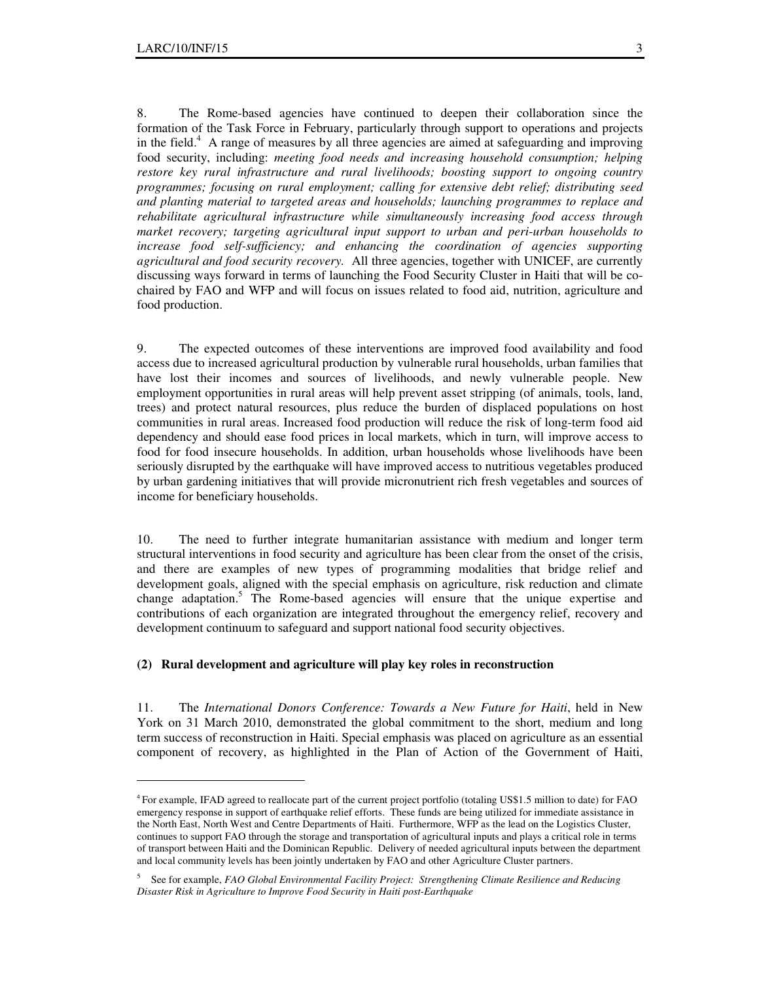-

8. The Rome-based agencies have continued to deepen their collaboration since the formation of the Task Force in February, particularly through support to operations and projects in the field.<sup>4</sup> A range of measures by all three agencies are aimed at safeguarding and improving food security, including: *meeting food needs and increasing household consumption; helping restore key rural infrastructure and rural livelihoods; boosting support to ongoing country programmes; focusing on rural employment; calling for extensive debt relief; distributing seed and planting material to targeted areas and households; launching programmes to replace and rehabilitate agricultural infrastructure while simultaneously increasing food access through market recovery; targeting agricultural input support to urban and peri-urban households to increase food self-sufficiency; and enhancing the coordination of agencies supporting agricultural and food security recovery.* All three agencies, together with UNICEF, are currently discussing ways forward in terms of launching the Food Security Cluster in Haiti that will be cochaired by FAO and WFP and will focus on issues related to food aid, nutrition, agriculture and food production.

9. The expected outcomes of these interventions are improved food availability and food access due to increased agricultural production by vulnerable rural households, urban families that have lost their incomes and sources of livelihoods, and newly vulnerable people. New employment opportunities in rural areas will help prevent asset stripping (of animals, tools, land, trees) and protect natural resources, plus reduce the burden of displaced populations on host communities in rural areas. Increased food production will reduce the risk of long-term food aid dependency and should ease food prices in local markets, which in turn, will improve access to food for food insecure households. In addition, urban households whose livelihoods have been seriously disrupted by the earthquake will have improved access to nutritious vegetables produced by urban gardening initiatives that will provide micronutrient rich fresh vegetables and sources of income for beneficiary households.

10. The need to further integrate humanitarian assistance with medium and longer term structural interventions in food security and agriculture has been clear from the onset of the crisis, and there are examples of new types of programming modalities that bridge relief and development goals, aligned with the special emphasis on agriculture, risk reduction and climate change adaptation.<sup>5</sup> The Rome-based agencies will ensure that the unique expertise and contributions of each organization are integrated throughout the emergency relief, recovery and development continuum to safeguard and support national food security objectives.

### **(2) Rural development and agriculture will play key roles in reconstruction**

11. The *International Donors Conference: Towards a New Future for Haiti*, held in New York on 31 March 2010, demonstrated the global commitment to the short, medium and long term success of reconstruction in Haiti. Special emphasis was placed on agriculture as an essential component of recovery, as highlighted in the Plan of Action of the Government of Haiti,

<sup>4</sup> For example, IFAD agreed to reallocate part of the current project portfolio (totaling US\$1.5 million to date) for FAO emergency response in support of earthquake relief efforts. These funds are being utilized for immediate assistance in the North East, North West and Centre Departments of Haiti. Furthermore, WFP as the lead on the Logistics Cluster, continues to support FAO through the storage and transportation of agricultural inputs and plays a critical role in terms of transport between Haiti and the Dominican Republic. Delivery of needed agricultural inputs between the department and local community levels has been jointly undertaken by FAO and other Agriculture Cluster partners.

<sup>5</sup> See for example, *FAO Global Environmental Facility Project: Strengthening Climate Resilience and Reducing Disaster Risk in Agriculture to Improve Food Security in Haiti post-Earthquake*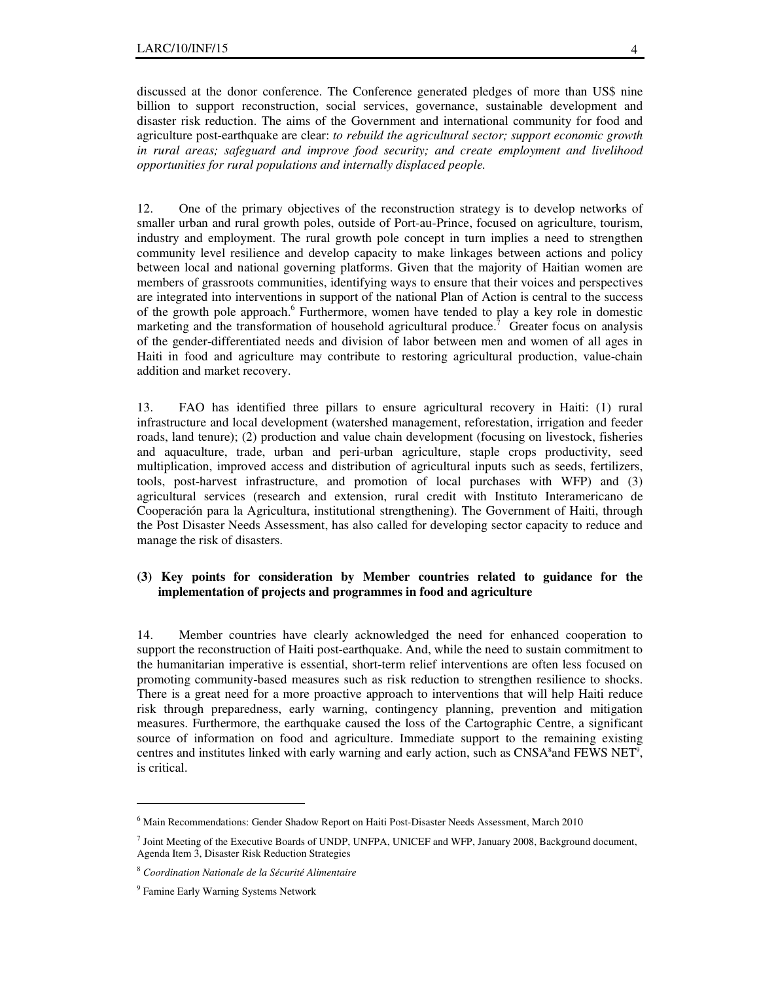discussed at the donor conference. The Conference generated pledges of more than US\$ nine billion to support reconstruction, social services, governance, sustainable development and disaster risk reduction. The aims of the Government and international community for food and agriculture post-earthquake are clear: *to rebuild the agricultural sector; support economic growth in rural areas; safeguard and improve food security; and create employment and livelihood opportunities for rural populations and internally displaced people.* 

12. One of the primary objectives of the reconstruction strategy is to develop networks of smaller urban and rural growth poles, outside of Port-au-Prince, focused on agriculture, tourism, industry and employment. The rural growth pole concept in turn implies a need to strengthen community level resilience and develop capacity to make linkages between actions and policy between local and national governing platforms. Given that the majority of Haitian women are members of grassroots communities, identifying ways to ensure that their voices and perspectives are integrated into interventions in support of the national Plan of Action is central to the success of the growth pole approach.<sup>6</sup> Furthermore, women have tended to play a key role in domestic marketing and the transformation of household agricultural produce.<sup>7</sup> Greater focus on analysis of the gender-differentiated needs and division of labor between men and women of all ages in Haiti in food and agriculture may contribute to restoring agricultural production, value-chain addition and market recovery.

13. FAO has identified three pillars to ensure agricultural recovery in Haiti: (1) rural infrastructure and local development (watershed management, reforestation, irrigation and feeder roads, land tenure); (2) production and value chain development (focusing on livestock, fisheries and aquaculture, trade, urban and peri-urban agriculture, staple crops productivity, seed multiplication, improved access and distribution of agricultural inputs such as seeds, fertilizers, tools, post-harvest infrastructure, and promotion of local purchases with WFP) and (3) agricultural services (research and extension, rural credit with Instituto Interamericano de Cooperación para la Agricultura, institutional strengthening). The Government of Haiti, through the Post Disaster Needs Assessment, has also called for developing sector capacity to reduce and manage the risk of disasters.

### **(3) Key points for consideration by Member countries related to guidance for the implementation of projects and programmes in food and agriculture**

14. Member countries have clearly acknowledged the need for enhanced cooperation to support the reconstruction of Haiti post-earthquake. And, while the need to sustain commitment to the humanitarian imperative is essential, short-term relief interventions are often less focused on promoting community-based measures such as risk reduction to strengthen resilience to shocks. There is a great need for a more proactive approach to interventions that will help Haiti reduce risk through preparedness, early warning, contingency planning, prevention and mitigation measures. Furthermore, the earthquake caused the loss of the Cartographic Centre, a significant source of information on food and agriculture. Immediate support to the remaining existing centres and institutes linked with early warning and early action, such as CNSA<sup>8</sup> and FEWS NET<sup>9</sup>, is critical.

-

<sup>&</sup>lt;sup>6</sup> Main Recommendations: Gender Shadow Report on Haiti Post-Disaster Needs Assessment, March 2010

<sup>7</sup> Joint Meeting of the Executive Boards of UNDP, UNFPA, UNICEF and WFP, January 2008, Background document, Agenda Item 3, Disaster Risk Reduction Strategies

<sup>8</sup> *Coordination Nationale de la Sécurité Alimentaire*

<sup>9</sup> Famine Early Warning Systems Network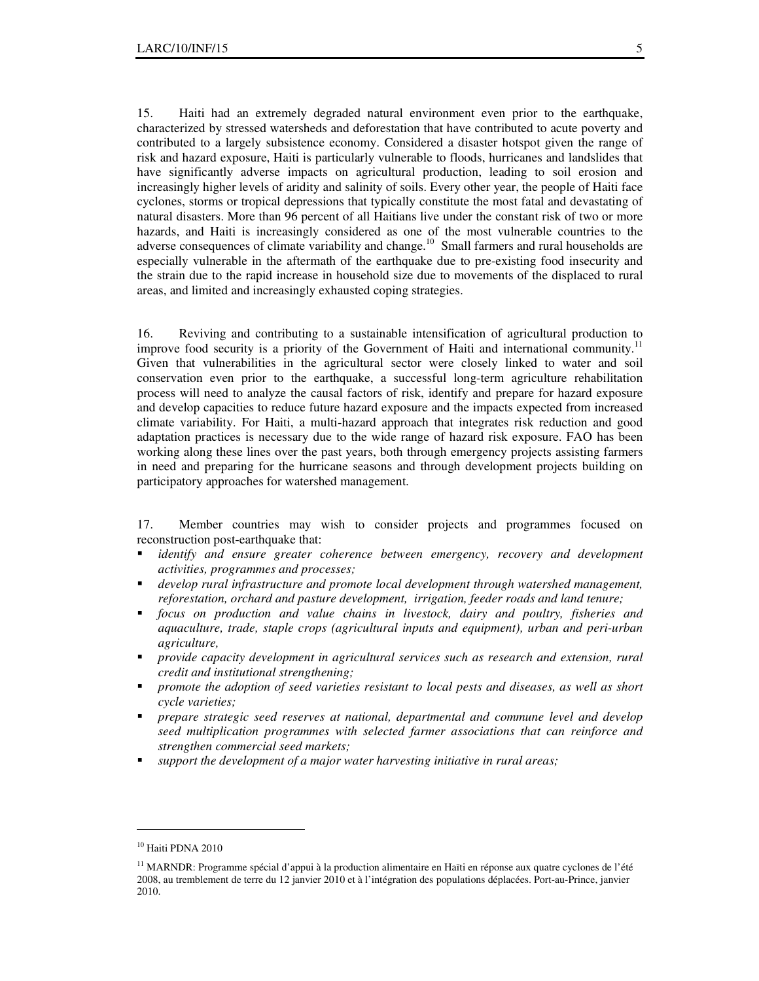15. Haiti had an extremely degraded natural environment even prior to the earthquake, characterized by stressed watersheds and deforestation that have contributed to acute poverty and contributed to a largely subsistence economy. Considered a disaster hotspot given the range of risk and hazard exposure, Haiti is particularly vulnerable to floods, hurricanes and landslides that have significantly adverse impacts on agricultural production, leading to soil erosion and increasingly higher levels of aridity and salinity of soils. Every other year, the people of Haiti face cyclones, storms or tropical depressions that typically constitute the most fatal and devastating of natural disasters. More than 96 percent of all Haitians live under the constant risk of two or more hazards, and Haiti is increasingly considered as one of the most vulnerable countries to the adverse consequences of climate variability and change.<sup>10</sup> Small farmers and rural households are especially vulnerable in the aftermath of the earthquake due to pre-existing food insecurity and the strain due to the rapid increase in household size due to movements of the displaced to rural areas, and limited and increasingly exhausted coping strategies.

16. Reviving and contributing to a sustainable intensification of agricultural production to improve food security is a priority of the Government of Haiti and international community.<sup>1</sup> Given that vulnerabilities in the agricultural sector were closely linked to water and soil conservation even prior to the earthquake, a successful long-term agriculture rehabilitation process will need to analyze the causal factors of risk, identify and prepare for hazard exposure and develop capacities to reduce future hazard exposure and the impacts expected from increased climate variability. For Haiti, a multi-hazard approach that integrates risk reduction and good adaptation practices is necessary due to the wide range of hazard risk exposure. FAO has been working along these lines over the past years, both through emergency projects assisting farmers in need and preparing for the hurricane seasons and through development projects building on participatory approaches for watershed management.

17. Member countries may wish to consider projects and programmes focused on reconstruction post-earthquake that:

- *identify and ensure greater coherence between emergency, recovery and development activities, programmes and processes;*
- *develop rural infrastructure and promote local development through watershed management, reforestation, orchard and pasture development, irrigation, feeder roads and land tenure;*
- *focus on production and value chains in livestock, dairy and poultry, fisheries and aquaculture, trade, staple crops (agricultural inputs and equipment), urban and peri-urban agriculture,*
- *provide capacity development in agricultural services such as research and extension, rural credit and institutional strengthening;*
- *promote the adoption of seed varieties resistant to local pests and diseases, as well as short cycle varieties;*
- *prepare strategic seed reserves at national, departmental and commune level and develop seed multiplication programmes with selected farmer associations that can reinforce and strengthen commercial seed markets;*
- *support the development of a major water harvesting initiative in rural areas;*

-

<sup>10</sup> Haiti PDNA 2010

<sup>&</sup>lt;sup>11</sup> MARNDR: Programme spécial d'appui à la production alimentaire en Haïti en réponse aux quatre cyclones de l'été 2008, au tremblement de terre du 12 janvier 2010 et à l'intégration des populations déplacées. Port-au-Prince, janvier 2010.